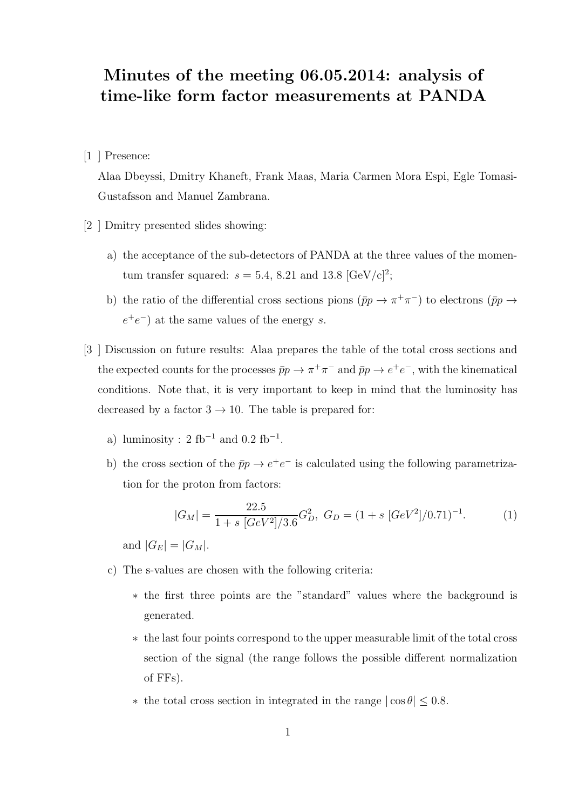## Minutes of the meeting 06.05.2014: analysis of time-like form factor measurements at PANDA

[1 ] Presence:

Alaa Dbeyssi, Dmitry Khaneft, Frank Maas, Maria Carmen Mora Espi, Egle Tomasi-Gustafsson and Manuel Zambrana.

[2 ] Dmitry presented slides showing:

- a) the acceptance of the sub-detectors of PANDA at the three values of the momentum transfer squared:  $s = 5.4$ , 8.21 and 13.8 [GeV/c]<sup>2</sup>;
- b) the ratio of the differential cross sections pions  $(\bar{p}p \to \pi^+\pi^-)$  to electrons  $(\bar{p}p \to$  $e^+e^-$ ) at the same values of the energy s.
- [3 ] Discussion on future results: Alaa prepares the table of the total cross sections and the expected counts for the processes  $\bar{p}p \to \pi^+\pi^-$  and  $\bar{p}p \to e^+e^-$ , with the kinematical conditions. Note that, it is very important to keep in mind that the luminosity has decreased by a factor  $3 \rightarrow 10$ . The table is prepared for:
	- a) luminosity :  $2 \text{ fb}^{-1}$  and  $0.2 \text{ fb}^{-1}$ .
	- b) the cross section of the  $\bar{p}p \to e^+e^-$  is calculated using the following parametrization for the proton from factors:

$$
|G_M| = \frac{22.5}{1 + s \left[ GeV^2 \right] / 3.6} G_D^2, \ G_D = (1 + s \left[ GeV^2 \right] / 0.71)^{-1}.
$$
 (1)

and  $|G_E| = |G_M|$ .

- c) The s-values are chosen with the following criteria:
	- ∗ the first three points are the "standard" values where the background is generated.
	- ∗ the last four points correspond to the upper measurable limit of the total cross section of the signal (the range follows the possible different normalization of FFs).
	- $∗$  the total cross section in integrated in the range  $| \cos \theta |$  ≤ 0.8.